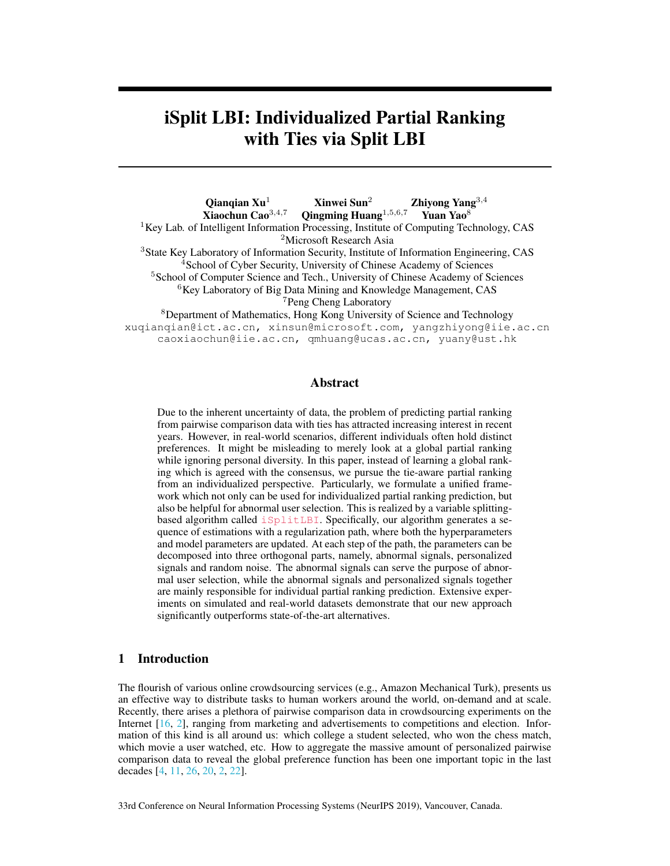# iSplit LBI: Individualized Partial Ranking with Ties via Split LBI

Qianqian Xu<sup>1</sup> Xinwei Sun<sup>2</sup> Zhiyong Yang<sup>3,4</sup><br>Xiaochun Cao<sup>3,4,7</sup> Qingming Huang<sup>1,5,6,7</sup> Yuan Yao<sup>8</sup>  $Q$ ingming Huang<sup>1,5,6,7</sup> Yuan Yao<sup>8</sup>  ${}^{1}$ Key Lab. of Intelligent Information Processing, Institute of Computing Technology, CAS <sup>2</sup>Microsoft Research Asia <sup>3</sup>State Key Laboratory of Information Security, Institute of Information Engineering, CAS <sup>4</sup>School of Cyber Security, University of Chinese Academy of Sciences <sup>5</sup>School of Computer Science and Tech., University of Chinese Academy of Sciences <sup>6</sup>Key Laboratory of Big Data Mining and Knowledge Management, CAS <sup>7</sup>Peng Cheng Laboratory <sup>8</sup>Department of Mathematics, Hong Kong University of Science and Technology xuqianqian@ict.ac.cn, xinsun@microsoft.com, yangzhiyong@iie.ac.cn caoxiaochun@iie.ac.cn, qmhuang@ucas.ac.cn, yuany@ust.hk

# Abstract

Due to the inherent uncertainty of data, the problem of predicting partial ranking from pairwise comparison data with ties has attracted increasing interest in recent years. However, in real-world scenarios, different individuals often hold distinct preferences. It might be misleading to merely look at a global partial ranking while ignoring personal diversity. In this paper, instead of learning a global ranking which is agreed with the consensus, we pursue the tie-aware partial ranking from an individualized perspective. Particularly, we formulate a unified framework which not only can be used for individualized partial ranking prediction, but also be helpful for abnormal user selection. This is realized by a variable splittingbased algorithm called iSplitLBI. Specifically, our algorithm generates a sequence of estimations with a regularization path, where both the hyperparameters and model parameters are updated. At each step of the path, the parameters can be decomposed into three orthogonal parts, namely, abnormal signals, personalized signals and random noise. The abnormal signals can serve the purpose of abnormal user selection, while the abnormal signals and personalized signals together are mainly responsible for individual partial ranking prediction. Extensive experiments on simulated and real-world datasets demonstrate that our new approach significantly outperforms state-of-the-art alternatives.

# 1 Introduction

The flourish of various online crowdsourcing services (e.g., Amazon Mechanical Turk), presents us an effective way to distribute tasks to human workers around the world, on-demand and at scale. Recently, there arises a plethora of pairwise comparison data in crowdsourcing experiments on the Internet [16, 2], ranging from marketing and advertisements to competitions and election. Information of this kind is all around us: which college a student selected, who won the chess match, which movie a user watched, etc. How to aggregate the massive amount of personalized pairwise comparison data to reveal the global preference function has been one important topic in the last decades [4, 11, 26, 20, 2, 22].

33rd Conference on Neural Information Processing Systems (NeurIPS 2019), Vancouver, Canada.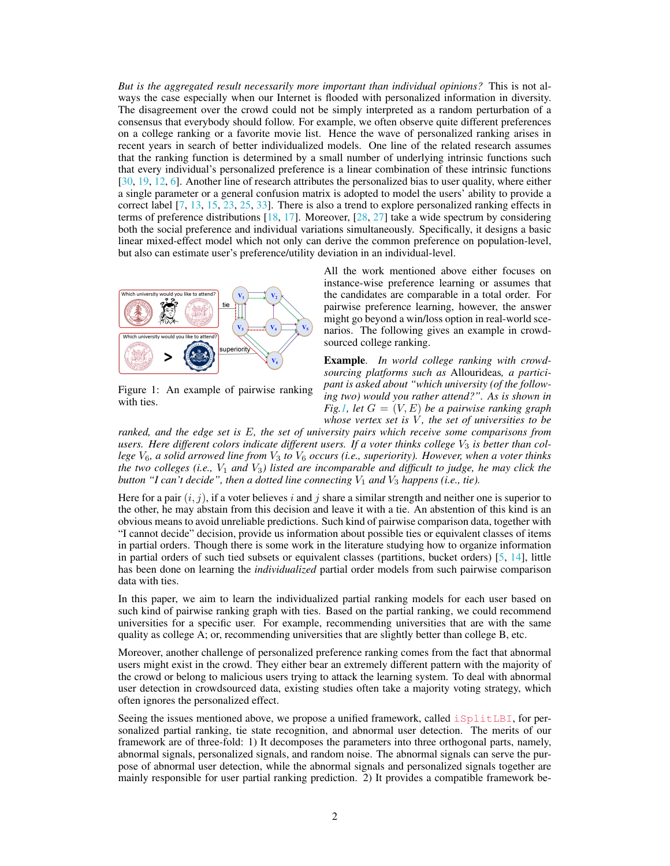*But is the aggregated result necessarily more important than individual opinions?* This is not always the case especially when our Internet is flooded with personalized information in diversity. The disagreement over the crowd could not be simply interpreted as a random perturbation of a consensus that everybody should follow. For example, we often observe quite different preferences on a college ranking or a favorite movie list. Hence the wave of personalized ranking arises in recent years in search of better individualized models. One line of the related research assumes that the ranking function is determined by a small number of underlying intrinsic functions such that every individual's personalized preference is a linear combination of these intrinsic functions [30, 19, 12, 6]. Another line of research attributes the personalized bias to user quality, where either a single parameter or a general confusion matrix is adopted to model the users' ability to provide a correct label [7, 13, 15, 23, 25, 33]. There is also a trend to explore personalized ranking effects in terms of preference distributions [18, 17]. Moreover, [28, 27] take a wide spectrum by considering both the social preference and individual variations simultaneously. Specifically, it designs a basic linear mixed-effect model which not only can derive the common preference on population-level, but also can estimate user's preference/utility deviation in an individual-level.



Figure 1: An example of pairwise ranking with ties.

All the work mentioned above either focuses on instance-wise preference learning or assumes that the candidates are comparable in a total order. For pairwise preference learning, however, the answer might go beyond a win/loss option in real-world scenarios. The following gives an example in crowdsourced college ranking.

Example. *In world college ranking with crowdsourcing platforms such as* Allourideas*, a participant is asked about "which university (of the following two) would you rather attend?". As is shown in Fig.1,* let  $G = (V, E)$  *be a pairwise ranking graph whose vertex set is*  $V$ *, the set of universities to be* 

*ranked, and the edge set is* E*, the set of university pairs which receive some comparisons from* users. Here different colors indicate different users. If a voter thinks college  $V_3$  is better than col*lege* V6*, a solid arrowed line from* V<sup>3</sup> *to* V<sup>6</sup> *occurs (i.e., superiority). However, when a voter thinks the two colleges (i.e.,* V<sup>1</sup> *and* V3*) listed are incomparable and difficult to judge, he may click the button "I can't decide", then a dotted line connecting*  $V_1$  *and*  $V_3$  *happens (i.e., tie).* 

Here for a pair  $(i, j)$ , if a voter believes i and j share a similar strength and neither one is superior to the other, he may abstain from this decision and leave it with a tie. An abstention of this kind is an obvious means to avoid unreliable predictions. Such kind of pairwise comparison data, together with "I cannot decide" decision, provide us information about possible ties or equivalent classes of items in partial orders. Though there is some work in the literature studying how to organize information in partial orders of such tied subsets or equivalent classes (partitions, bucket orders) [5, 14], little has been done on learning the *individualized* partial order models from such pairwise comparison data with ties.

In this paper, we aim to learn the individualized partial ranking models for each user based on such kind of pairwise ranking graph with ties. Based on the partial ranking, we could recommend universities for a specific user. For example, recommending universities that are with the same quality as college A; or, recommending universities that are slightly better than college B, etc.

Moreover, another challenge of personalized preference ranking comes from the fact that abnormal users might exist in the crowd. They either bear an extremely different pattern with the majority of the crowd or belong to malicious users trying to attack the learning system. To deal with abnormal user detection in crowdsourced data, existing studies often take a majority voting strategy, which often ignores the personalized effect.

Seeing the issues mentioned above, we propose a unified framework, called  $i$ SplitLBI, for personalized partial ranking, tie state recognition, and abnormal user detection. The merits of our framework are of three-fold: 1) It decomposes the parameters into three orthogonal parts, namely, abnormal signals, personalized signals, and random noise. The abnormal signals can serve the purpose of abnormal user detection, while the abnormal signals and personalized signals together are mainly responsible for user partial ranking prediction. 2) It provides a compatible framework be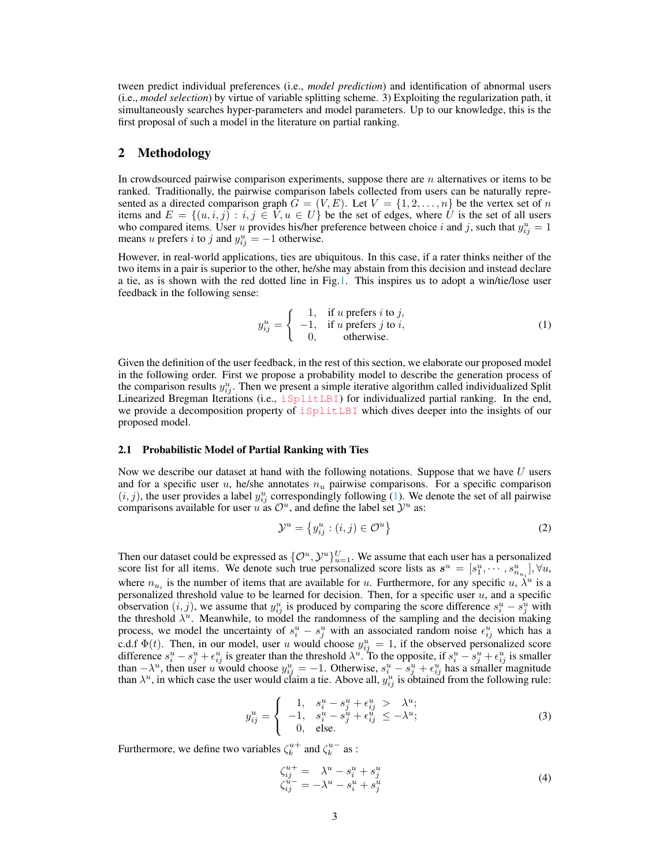tween predict individual preferences (i.e., *model prediction*) and identification of abnormal users (i.e., *model selection*) by virtue of variable splitting scheme. 3) Exploiting the regularization path, it simultaneously searches hyper-parameters and model parameters. Up to our knowledge, this is the first proposal of such a model in the literature on partial ranking.

# 2 Methodology

In crowdsourced pairwise comparison experiments, suppose there are  $n$  alternatives or items to be ranked. Traditionally, the pairwise comparison labels collected from users can be naturally represented as a directed comparison graph  $G = (V, E)$ . Let  $V = \{1, 2, \ldots, n\}$  be the vertex set of n items and  $E = \{(u, i, j) : i, j \in V, u \in U\}$  be the set of edges, where U is the set of all users who compared items. User u provides his/her preference between choice i and j, such that  $y_{ij}^u = 1$ means u prefers i to j and  $y_{ij}^u = -1$  otherwise.

However, in real-world applications, ties are ubiquitous. In this case, if a rater thinks neither of the two items in a pair is superior to the other, he/she may abstain from this decision and instead declare a tie, as is shown with the red dotted line in Fig.1. This inspires us to adopt a win/tie/lose user feedback in the following sense:

$$
y_{ij}^{u} = \begin{cases} 1, & \text{if } u \text{ prefers } i \text{ to } j, \\ -1, & \text{if } u \text{ prefers } j \text{ to } i, \\ 0, & \text{otherwise.} \end{cases}
$$
 (1)

Given the definition of the user feedback, in the rest of this section, we elaborate our proposed model in the following order. First we propose a probability model to describe the generation process of the comparison results  $y_{ij}^u$ . Then we present a simple iterative algorithm called individualized Split Linearized Bregman Iterations (i.e., iSplitLBI) for individualized partial ranking. In the end, we provide a decomposition property of iSplitLBI which dives deeper into the insights of our proposed model.

## 2.1 Probabilistic Model of Partial Ranking with Ties

Now we describe our dataset at hand with the following notations. Suppose that we have  $U$  users and for a specific user u, he/she annotates  $n_u$  pairwise comparisons. For a specific comparison  $(i, j)$ , the user provides a label  $y_{ij}^u$  correspondingly following (1). We denote the set of all pairwise comparisons available for user u as  $\mathcal{O}^u$ , and define the label set  $\mathcal{Y}^u$  as:

$$
\mathcal{Y}^u = \left\{ y_{ij}^u : (i,j) \in \mathcal{O}^u \right\} \tag{2}
$$

Then our dataset could be expressed as  $\{\mathcal{O}^u, \mathcal{Y}^u\}_{u=1}^U$ . We assume that each user has a personalized score list for all items. We denote such true personalized score lists as  $s^u = [s_1^u, \dots, s_{n_{u_i}}^u], \forall u$ , where  $n_{u_i}$  is the number of items that are available for u. Furthermore, for any specific u,  $\lambda^u$  is a personalized threshold value to be learned for decision. Then, for a specific user  $u$ , and a specific observation  $(i, j)$ , we assume that  $y_{ij}^u$  is produced by comparing the score difference  $s_i^u - \overline{s_j^u}$  with the threshold  $\lambda^u$ . Meanwhile, to model the randomness of the sampling and the decision making process, we model the uncertainty of  $s_i^u - s_j^u$  with an associated random noise  $\epsilon_{ij}^u$  which has a c.d.f  $\Phi(t)$ . Then, in our model, user u would choose  $y_{ij}^u = 1$ , if the observed personalized score difference  $s_i^u - s_j^u + \epsilon_{ij}^u$  is greater than the threshold  $\lambda^u$ . To the opposite, if  $s_i^u - s_j^u + \epsilon_{ij}^u$  is smaller than  $-\lambda^u$ , then user u would choose  $y_{ij}^u = -1$ . Otherwise,  $s_i^u - s_j^u + \epsilon_{ij}^u$  has a smaller magnitude than  $\lambda^u$ , in which case the user would claim a tie. Above all,  $y_{ij}^u$  is obtained from the following rule:

$$
y_{ij}^{u} = \begin{cases} 1, & s_{i}^{u} - s_{j}^{u} + \epsilon_{ij}^{u} > \lambda^{u}; \\ -1, & s_{i}^{u} - s_{j}^{u} + \epsilon_{ij}^{u} \leq -\lambda^{u}; \\ 0, & \text{else.} \end{cases}
$$
 (3)

Furthermore, we define two variables  $\zeta_k^{u+}$  and  $\zeta_k^{u-}$  as :

$$
\zeta_{ij}^{u+} = \lambda^u - s_i^u + s_j^u
$$
  
\n
$$
\zeta_{ij}^{u-} = -\lambda^u - s_i^u + s_j^u
$$
\n(4)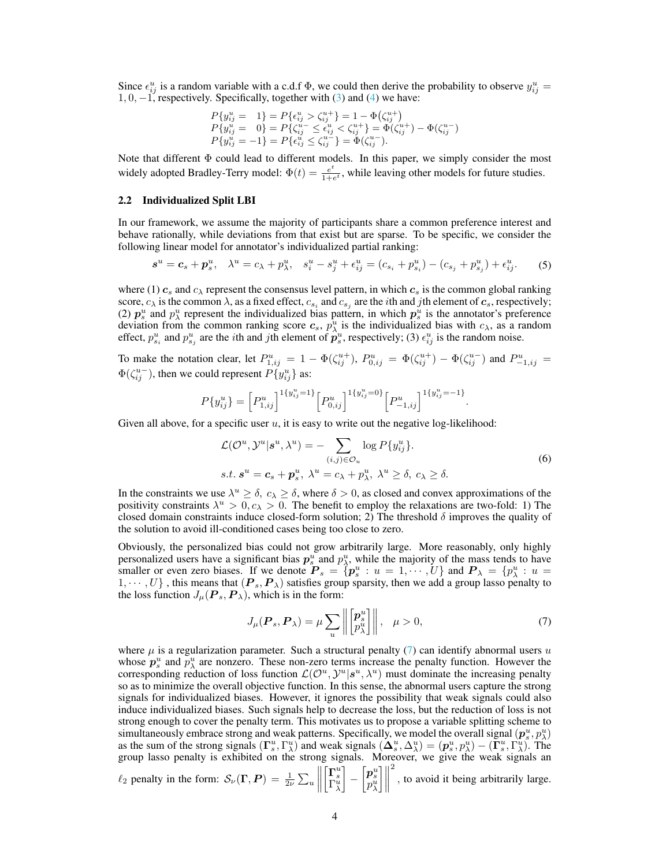Since  $\epsilon_{ij}^u$  is a random variable with a c.d.f  $\Phi$ , we could then derive the probability to observe  $y_{ij}^u$  =  $1, 0, -1$ , respectively. Specifically, together with (3) and (4) we have:

$$
P\{y_{ij}^u = 1\} = P\{\epsilon_{ij}^u > \zeta_{ij}^{u+}\} = 1 - \Phi(\zeta_{ij}^{u+})
$$
  
\n
$$
P\{y_{ij}^u = 0\} = P\{\zeta_{ij}^{u-} \le \epsilon_{ij}^u < \zeta_{ij}^{u+}\} = \Phi(\zeta_{ij}^{u+}) - \Phi(\zeta_{ij}^{u-})
$$
  
\n
$$
P\{y_{ij}^u = -1\} = P\{\epsilon_{ij}^u \le \zeta_{ij}^{u-}\} = \Phi(\zeta_{ij}^{u-}).
$$

Note that different Φ could lead to different models. In this paper, we simply consider the most widely adopted Bradley-Terry model:  $\Phi(t) = \frac{e^t}{1+t}$  $\frac{e^{\epsilon}}{1+e^{\epsilon}}$ , while leaving other models for future studies.

#### 2.2 Individualized Split LBI

In our framework, we assume the majority of participants share a common preference interest and behave rationally, while deviations from that exist but are sparse. To be specific, we consider the following linear model for annotator's individualized partial ranking:

$$
s^{u} = c_{s} + p_{s}^{u}, \quad \lambda^{u} = c_{\lambda} + p_{\lambda}^{u}, \quad s_{i}^{u} - s_{j}^{u} + \epsilon_{ij}^{u} = (c_{s_{i}} + p_{s_{i}}^{u}) - (c_{s_{j}} + p_{s_{j}}^{u}) + \epsilon_{ij}^{u}.
$$
 (5)

where (1)  $c_s$  and  $c_\lambda$  represent the consensus level pattern, in which  $c_s$  is the common global ranking score,  $c_\lambda$  is the common  $\lambda$ , as a fixed effect,  $c_{s_i}$  and  $c_{s_j}$  are the *i*th and *j*th element of  $c_s$ , respectively; (2)  $p_s^u$  and  $p_\lambda^u$  represent the individualized bias pattern, in which  $p_s^u$  is the annotator's preference deviation from the common ranking score  $c_s$ ,  $p_\lambda^u$  is the individualized bias with  $c_\lambda$ , as a random effect,  $p_{s_i}^u$  and  $p_{s_j}^u$  are the *i*th and *j*th element of  $\hat{p}_s^u$ , respectively; (3)  $\epsilon_{ij}^u$  is the random noise.

To make the notation clear, let  $P_{1,ij}^u = 1 - \Phi(\zeta_{ij}^{u+})$ ,  $P_{0,ij}^u = \Phi(\zeta_{ij}^{u+}) - \Phi(\zeta_{ij}^{u-})$  and  $P_{-1,ij}^u =$  $\Phi(\zeta_{ij}^{u-})$ , then we could represent  $P\{y_{ij}^u\}$  as:

$$
P\{y_{ij}^u\} = \left[P_{1,ij}^u\right]^{1\{y_{ij}^u = 1\}} \left[P_{0,ij}^u\right]^{1\{y_{ij}^u = 0\}} \left[P_{-1,ij}^u\right]^{1\{y_{ij}^u = -1\}}
$$

Given all above, for a specific user  $u$ , it is easy to write out the negative log-likelihood:

$$
\mathcal{L}(\mathcal{O}^u, \mathcal{Y}^u | \mathbf{s}^u, \lambda^u) = -\sum_{(i,j) \in \mathcal{O}_u} \log P\{y_{ij}^u\}.
$$
  
s.t.  $\mathbf{s}^u = \mathbf{c}_s + \mathbf{p}_s^u, \ \lambda^u = c_\lambda + p_\lambda^u, \ \lambda^u \ge \delta, \ c_\lambda \ge \delta.$  (6)

.

In the constraints we use  $\lambda^u \ge \delta$ ,  $c_\lambda \ge \delta$ , where  $\delta > 0$ , as closed and convex approximations of the positivity constraints  $\lambda^u > 0$ ,  $c_{\lambda} > 0$ . The benefit to employ the relaxations are two-fold: 1) The closed domain constraints induce closed-form solution; 2) The threshold  $\delta$  improves the quality of the solution to avoid ill-conditioned cases being too close to zero.

Obviously, the personalized bias could not grow arbitrarily large. More reasonably, only highly personalized users have a significant bias  $p_s^u$  and  $p_\lambda^u$ , while the majority of the mass tends to have smaller or even zero biases. If we denote  $P_s = \{p_s^u : u = 1, \dots, U\}$  and  $P_\lambda = \{p_\lambda^u : u = 1, \dots, U\}$  $1, \dots, U$ , this means that  $(P_s, P_\lambda)$  satisfies group sparsity, then we add a group lasso penalty to the loss function  $J_{\mu}(\boldsymbol{P}_s, \boldsymbol{P}_\lambda)$ , which is in the form:

$$
J_{\mu}(\boldsymbol{P}_s, \boldsymbol{P}_{\lambda}) = \mu \sum_{u} \left\| \begin{bmatrix} \boldsymbol{p}_s^u \\ p_{\lambda}^u \end{bmatrix} \right\|, \quad \mu > 0,
$$
\n<sup>(7)</sup>

where  $\mu$  is a regularization parameter. Such a structural penalty (7) can identify abnormal users u whose  $p_s^u$  and  $p_\lambda^u$  are nonzero. These non-zero terms increase the penalty function. However the corresponding reduction of loss function  $\mathcal{L}(\mathcal{O}^u, \mathcal{Y}^u | \mathbf{s}^u, \lambda^u)$  must dominate the increasing penalty so as to minimize the overall objective function. In this sense, the abnormal users capture the strong signals for individualized biases. However, it ignores the possibility that weak signals could also induce individualized biases. Such signals help to decrease the loss, but the reduction of loss is not strong enough to cover the penalty term. This motivates us to propose a variable splitting scheme to simultaneously embrace strong and weak patterns. Specifically, we model the overall signal  $(p_s^u, p_\lambda^u)$ as the sum of the strong signals  $(\Gamma_s^u, \Gamma_\lambda^u)$  and weak signals  $(\Delta_s^u, \Delta_\lambda^u) = (\mathbf{p}_s^u, p_\lambda^u) - (\overline{\Gamma}_s^u, \overline{\Gamma}_\lambda^u)$ . The group lasso penalty is exhibited on the strong signals. Moreover, we give the weak signals an 2

 $\ell_2$  penalty in the form:  $\mathcal{S}_{\nu}(\Gamma, P) = \frac{1}{2\nu} \sum_u$  $\begin{array}{c} \hline \end{array}$  $\begin{bmatrix} \Gamma^u_s \\ \Gamma^u_\lambda \end{bmatrix}$  $\begin{bmatrix} \boldsymbol{p}^u_s\ p^u_\lambda \end{bmatrix}$  $\rfloor\Vert$ , to avoid it being arbitrarily large.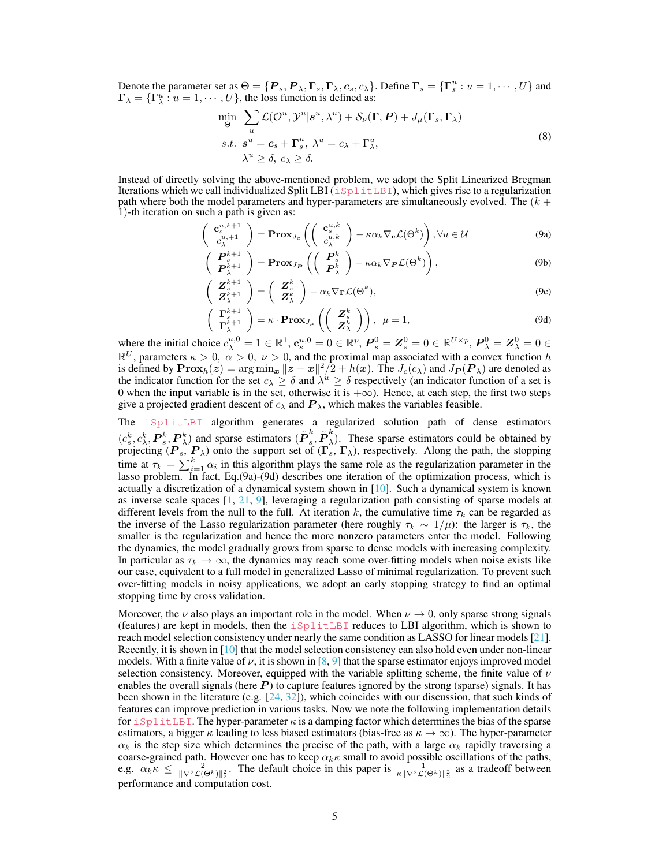Denote the parameter set as  $\Theta = \{P_s, P_\lambda, \Gamma_s, \Gamma_\lambda, c_s, c_\lambda\}$ . Define  $\Gamma_s = \{\Gamma_s^u : u = 1, \cdots, U\}$  and  $\Gamma_{\lambda} = \{\Gamma_{\lambda}^{u} : u = 1, \cdots, U\}$ , the loss function is defined as:

$$
\min_{\Theta} \sum_{u} \mathcal{L}(\mathcal{O}^{u}, \mathcal{Y}^{u} | \mathbf{s}^{u}, \lambda^{u}) + \mathcal{S}_{\nu}(\mathbf{\Gamma}, \mathbf{P}) + J_{\mu}(\mathbf{\Gamma}_{s}, \mathbf{\Gamma}_{\lambda})
$$
  
s.t.  $\mathbf{s}^{u} = \mathbf{c}_{s} + \mathbf{\Gamma}_{s}^{u}, \lambda^{u} = c_{\lambda} + \Gamma_{\lambda}^{u},$   
 $\lambda^{u} \geq \delta, c_{\lambda} \geq \delta.$  (8)

Instead of directly solving the above-mentioned problem, we adopt the Split Linearized Bregman Iterations which we call individualized Split LBI  $(i$  SplitLBI), which gives rise to a regularization path where both the model parameters and hyper-parameters are simultaneously evolved. The  $(k +$ 1)-th iteration on such a path is given as:

$$
\begin{pmatrix} \mathbf{c}_{s}^{u,k+1} \\ c_{\lambda}^{u,+1} \end{pmatrix} = \mathbf{Prox}_{J_c} \left( \begin{pmatrix} \mathbf{c}_{s}^{u,k} \\ c_{\lambda}^{u,k} \end{pmatrix} - \kappa \alpha_k \nabla_{\mathbf{c}} \mathcal{L}(\Theta^k) \right), \forall u \in \mathcal{U}
$$
(9a)

$$
\begin{pmatrix}\nP_{s}^{k+1} \\
P_{\lambda}^{k+1}\n\end{pmatrix} = \mathbf{Prox}_{J_{\mathbf{P}}}\left(\begin{pmatrix}\nP_{s}^{k} \\
P_{\lambda}^{k}\n\end{pmatrix} - \kappa \alpha_{k} \nabla_{\mathbf{P}} \mathcal{L}(\Theta^{k})\right),\n\tag{9b}
$$

$$
\begin{pmatrix} \mathbf{Z}_{s}^{k+1} \\ \mathbf{Z}_{\lambda}^{k+1} \end{pmatrix} = \begin{pmatrix} \mathbf{Z}_{s}^{k} \\ \mathbf{Z}_{\lambda}^{k} \end{pmatrix} - \alpha_{k} \nabla_{\mathbf{\Gamma}} \mathcal{L}(\Theta^{k}),
$$
\n(9c)

$$
\begin{pmatrix} \Gamma_s^{k+1} \\ \Gamma_{\lambda}^{k+1} \end{pmatrix} = \kappa \cdot \mathbf{Prox}_{J_{\mu}} \left( \begin{pmatrix} \mathbf{Z}_s^k \\ \mathbf{Z}_{\lambda}^k \end{pmatrix} \right), \ \mu = 1, \tag{9d}
$$

where the initial choice  $c_{\lambda}^{u,0} = 1 \in \mathbb{R}^1$ ,  $\mathbf{c}_s^{u,0} = 0 \in \mathbb{R}^p$ ,  $\mathbf{P}_s^0 = \mathbf{Z}_s^0 = 0 \in \mathbb{R}^{U \times p}$ ,  $\mathbf{P}_{\lambda}^0 = \mathbf{Z}_{\lambda}^0 = 0 \in$  $\mathbb{R}^U$ , parameters  $\kappa > 0$ ,  $\alpha > 0$ ,  $\nu > 0$ , and the proximal map associated with a convex function h is defined by  $\text{Prox}_h(z) = \arg \min_x ||z - x||^2/2 + h(x)$ . The  $J_c(c_\lambda)$  and  $J_P(\boldsymbol{P}_\lambda)$  are denoted as the indicator function for the set  $c_\lambda \ge \delta$  and  $\lambda^u \ge \delta$  respectively (an indicator function of a set is 0 when the input variable is in the set, otherwise it is  $+\infty$ ). Hence, at each step, the first two steps give a projected gradient descent of  $c_{\lambda}$  and  $P_{\lambda}$ , which makes the variables feasible.

The iSplitLBI algorithm generates a regularized solution path of dense estimators  $(c_s^k, c_\lambda^k, \boldsymbol{P}_s^k, \boldsymbol{P}_\lambda^k)$  and sparse estimators  $(\tilde{\boldsymbol{P}}_s^k)$  $_{s}^{k},\tilde{\bm{P}}_{\lambda}^{k}$  $\binom{n}{\lambda}$ . These sparse estimators could be obtained by projecting  $(P_s, P_\lambda)$  onto the support set of  $(\Gamma_s, \Gamma_\lambda)$ , respectively. Along the path, the stopping time at  $\tau_k = \sum_{i=1}^k \alpha_i$  in this algorithm plays the same role as the regularization parameter in the lasso problem. In fact, Eq.(9a)-(9d) describes one iteration of the optimization process, which is actually a discretization of a dynamical system shown in [10]. Such a dynamical system is known as inverse scale spaces  $[1, 21, 9]$ , leveraging a regularization path consisting of sparse models at different levels from the null to the full. At iteration k, the cumulative time  $\tau_k$  can be regarded as the inverse of the Lasso regularization parameter (here roughly  $\tau_k \sim 1/\mu$ ): the larger is  $\tau_k$ , the smaller is the regularization and hence the more nonzero parameters enter the model. Following the dynamics, the model gradually grows from sparse to dense models with increasing complexity. In particular as  $\tau_k \to \infty$ , the dynamics may reach some over-fitting models when noise exists like our case, equivalent to a full model in generalized Lasso of minimal regularization. To prevent such over-fitting models in noisy applications, we adopt an early stopping strategy to find an optimal stopping time by cross validation.

Moreover, the  $\nu$  also plays an important role in the model. When  $\nu \to 0$ , only sparse strong signals (features) are kept in models, then the iSplitLBI reduces to LBI algorithm, which is shown to reach model selection consistency under nearly the same condition as LASSO for linear models [21]. Recently, it is shown in  $[10]$  that the model selection consistency can also hold even under non-linear models. With a finite value of  $\nu$ , it is shown in [8, 9] that the sparse estimator enjoys improved model selection consistency. Moreover, equipped with the variable splitting scheme, the finite value of  $\nu$ enables the overall signals (here  $P$ ) to capture features ignored by the strong (sparse) signals. It has been shown in the literature (e.g. [24, 32]), which coincides with our discussion, that such kinds of features can improve prediction in various tasks. Now we note the following implementation details for iSplitLBI. The hyper-parameter  $\kappa$  is a damping factor which determines the bias of the sparse estimators, a bigger  $\kappa$  leading to less biased estimators (bias-free as  $\kappa \to \infty$ ). The hyper-parameter  $\alpha_k$  is the step size which determines the precise of the path, with a large  $\alpha_k$  rapidly traversing a coarse-grained path. However one has to keep  $\alpha_k \kappa$  small to avoid possible oscillations of the paths, e.g.  $\alpha_k \kappa \le \frac{2}{\|\nabla^2 \mathcal{L}(\Theta^k)\|^2_2}$ . The default choice in this paper is  $\frac{1}{\kappa \|\nabla^2 \mathcal{L}(\Theta^k)\|^2_2}$  as a tradeoff between performance and computation cost.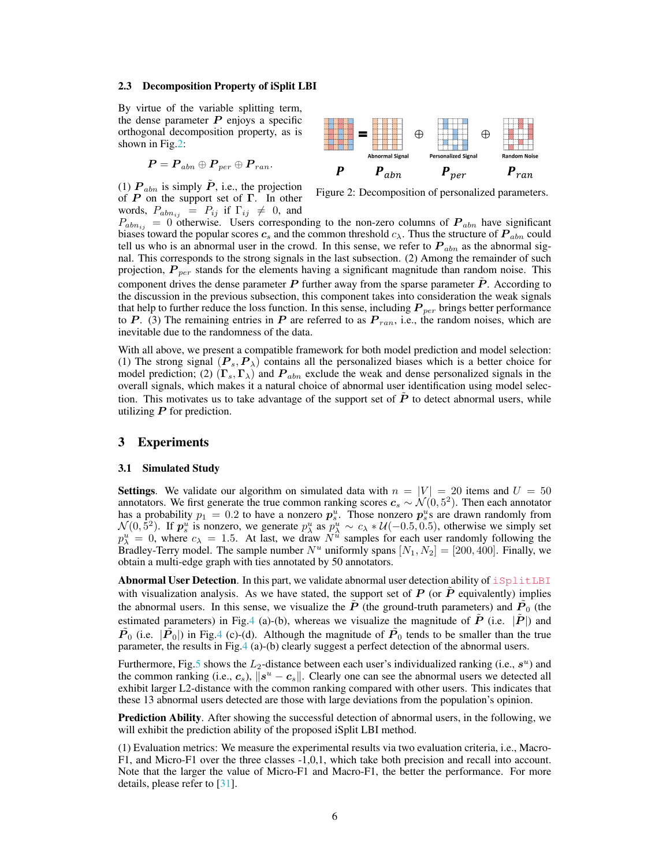#### 2.3 Decomposition Property of iSplit LBI

By virtue of the variable splitting term, the dense parameter  $P$  enjoys a specific orthogonal decomposition property, as is shown in Fig.2:

$$
\boldsymbol{P} = \boldsymbol{P}_{abn} \oplus \boldsymbol{P}_{per} \oplus \boldsymbol{P}_{ran}.
$$

(1)  $P_{abn}$  is simply  $\tilde{P}$ , i.e., the projection of  $P$  on the support set of  $\Gamma$ . In other words,  $P_{abn_{ij}} = P_{ij}$  if  $\Gamma_{ij} \neq 0$ , and



Figure 2: Decomposition of personalized parameters.

 $P_{abn_{ij}} = 0$  otherwise. Users corresponding to the non-zero columns of  $P_{abn}$  have significant biases toward the popular scores  $c_s$  and the common threshold  $c_\lambda$ . Thus the structure of  $P_{abn}$  could tell us who is an abnormal user in the crowd. In this sense, we refer to  $P_{abn}$  as the abnormal signal. This corresponds to the strong signals in the last subsection. (2) Among the remainder of such projection,  $P_{per}$  stands for the elements having a significant magnitude than random noise. This component drives the dense parameter  $P$  further away from the sparse parameter  $P$ . According to the discussion in the previous subsection, this component takes into consideration the weak signals that help to further reduce the loss function. In this sense, including  $P_{per}$  brings better performance to P. (3) The remaining entries in P are referred to as  $P_{ran}$ , i.e., the random noises, which are inevitable due to the randomness of the data.

With all above, we present a compatible framework for both model prediction and model selection: (1) The strong signal  $(P_s, P_\lambda)$  contains all the personalized biases which is a better choice for model prediction; (2)  $(\Gamma_s, \Gamma_\lambda)$  and  $P_{abn}$  exclude the weak and dense personalized signals in the overall signals, which makes it a natural choice of abnormal user identification using model selection. This motivates us to take advantage of the support set of  $\tilde{P}$  to detect abnormal users, while utilizing  $P$  for prediction.

# 3 Experiments

#### 3.1 Simulated Study

**Settings.** We validate our algorithm on simulated data with  $n = |V| = 20$  items and  $U = 50$ annotators. We first generate the true common ranking scores  $c_s \sim \mathcal{N}(0, 5^2)$ . Then each annotator has a probability  $p_1 = 0.2$  to have a nonzero  $p_s^u$ . Those nonzero  $p_s^u$ s are drawn randomly from  $\mathcal{N}(0, 5^2)$ . If  $p_s^u$  is nonzero, we generate  $p_\lambda^u$  as  $p_\lambda^u \sim c_\lambda * \mathcal{U}(-0.5, 0.5)$ , otherwise we simply set  $p_{\lambda}^{u} = 0$ , where  $c_{\lambda} = 1.5$ . At last, we draw  $N^{u}$  samples for each user randomly following the Bradley-Terry model. The sample number  $N^u$  uniformly spans  $[N_1, N_2] = [200, 400]$ . Finally, we obtain a multi-edge graph with ties annotated by 50 annotators.

Abnormal User Detection. In this part, we validate abnormal user detection ability of iSplitLBI with visualization analysis. As we have stated, the support set of  $P$  (or  $\overline{P}$  equivalently) implies the abnormal users. In this sense, we visualize the  $\tilde{P}$  (the ground-truth parameters) and  $\tilde{P}_0$  (the estimated parameters) in Fig.4 (a)-(b), whereas we visualize the magnitude of  $\vec{P}$  (i.e.  $|\vec{P}|$ ) and  $\tilde{P}_0$  (i.e.  $|\tilde{P}_0|$ ) in Fig.4 (c)-(d). Although the magnitude of  $\tilde{P}_0$  tends to be smaller than the true parameter, the results in Fig.4 (a)-(b) clearly suggest a perfect detection of the abnormal users.

Furthermore, Fig.5 shows the  $L_2$ -distance between each user's individualized ranking (i.e.,  $s^u$ ) and the common ranking (i.e.,  $c_s$ ),  $||s^u - c_s||$ . Clearly one can see the abnormal users we detected all exhibit larger L2-distance with the common ranking compared with other users. This indicates that these 13 abnormal users detected are those with large deviations from the population's opinion.

Prediction Ability. After showing the successful detection of abnormal users, in the following, we will exhibit the prediction ability of the proposed iSplit LBI method.

(1) Evaluation metrics: We measure the experimental results via two evaluation criteria, i.e., Macro-F1, and Micro-F1 over the three classes -1,0,1, which take both precision and recall into account. Note that the larger the value of Micro-F1 and Macro-F1, the better the performance. For more details, please refer to [31].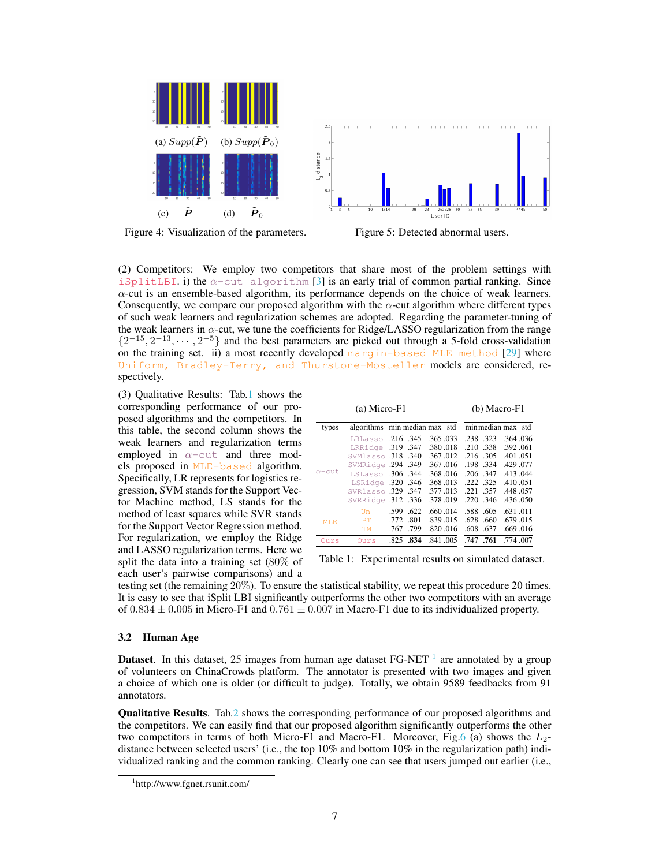

Figure 4: Visualization of the parameters. Figure 5: Detected abnormal users.

(2) Competitors: We employ two competitors that share most of the problem settings with iSplitLBI. i) the  $\alpha$ -cut algorithm [3] is an early trial of common partial ranking. Since  $\alpha$ -cut is an ensemble-based algorithm, its performance depends on the choice of weak learners. Consequently, we compare our proposed algorithm with the  $\alpha$ -cut algorithm where different types of such weak learners and regularization schemes are adopted. Regarding the parameter-tuning of the weak learners in  $\alpha$ -cut, we tune the coefficients for Ridge/LASSO regularization from the range  $\{2^{-15}, 2^{-13}, \cdots, 2^{-5}\}$  and the best parameters are picked out through a 5-fold cross-validation on the training set. ii) a most recently developed margin-based MLE method [29] where Uniform, Bradley-Terry, and Thurstone-Mosteller models are considered, respectively.

(3) Qualitative Results: Tab.1 shows the corresponding performance of our proposed algorithms and the competitors. In this table, the second column shows the weak learners and regularization terms employed in  $\alpha$ -cut and three models proposed in MLE-based algorithm. Specifically, LR represents for logistics regression, SVM stands for the Support Vector Machine method, LS stands for the method of least squares while SVR stands for the Support Vector Regression method. For regularization, we employ the Ridge and LASSO regularization terms. Here we split the data into a training set (80% of each user's pairwise comparisons) and a

|               | $(a)$ Micro-F1 | $(b)$ Macro-F1 |            |                    |                   |          |  |
|---------------|----------------|----------------|------------|--------------------|-------------------|----------|--|
| types         | algorithms     |                |            | min median max std | minmedian max std |          |  |
| $\alpha$ -cut | LRLasso        | 1.216 .345     |            | .365.033           | .238 .323         | .364.036 |  |
|               | LRRidge        | 1.319          | .347       | .380.018           | .338<br>.210      | .392.061 |  |
|               | SVMlasso       | 1.318 .340     |            | .367.012           | .216.305          | .401.051 |  |
|               | SVMRidge       |                | .294.349   | .367.016           | .198.334          | .429.077 |  |
|               | LSLasso        |                | .306.344   | .368.016           | $.206$ $.347$     | .413.044 |  |
|               | LSRidge        |                | 1.320 .346 | .368.013           | .222 .325         | .410.051 |  |
|               | SVRlasso       | 1.329          | .347       | .377.013           | .357<br>.221      | .448.057 |  |
|               | SVRRidge       | .312.336       |            | .378.019           | $.220$ $.346$     | .436.050 |  |
| MT.F.         | Un             | 1.599          | .622       | .660.014           | .588<br>.605      | .631.011 |  |
|               | <b>BT</b>      |                | .772 .801  | .839.015           | .628 .660         | .679.015 |  |
|               | TМ             | 1.767          | .799       | .820.016           | .608 .637         | .669.016 |  |
| Ours          | Ours           | 1.825          | .834       | .841.005           | .747.761          | .774.007 |  |

Table 1: Experimental results on simulated dataset.

testing set (the remaining 20%). To ensure the statistical stability, we repeat this procedure 20 times. It is easy to see that iSplit LBI significantly outperforms the other two competitors with an average of  $0.834 \pm 0.005$  in Micro-F1 and  $0.761 \pm 0.007$  in Macro-F1 due to its individualized property.

#### 3.2 Human Age

**Dataset**. In this dataset, 25 images from human age dataset FG-NET  $\frac{1}{1}$  are annotated by a group of volunteers on ChinaCrowds platform. The annotator is presented with two images and given a choice of which one is older (or difficult to judge). Totally, we obtain 9589 feedbacks from 91 annotators.

Qualitative Results. Tab.2 shows the corresponding performance of our proposed algorithms and the competitors. We can easily find that our proposed algorithm significantly outperforms the other two competitors in terms of both Micro-F1 and Macro-F1. Moreover, Fig.6 (a) shows the  $L_2$ distance between selected users' (i.e., the top 10% and bottom 10% in the regularization path) individualized ranking and the common ranking. Clearly one can see that users jumped out earlier (i.e.,

<sup>1</sup> http://www.fgnet.rsunit.com/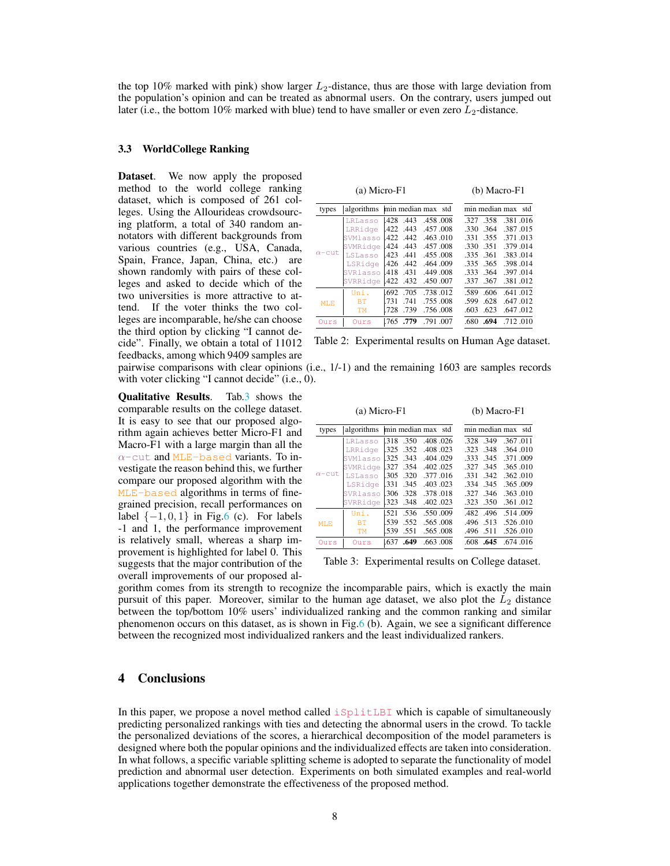the top 10% marked with pink) show larger  $L_2$ -distance, thus are those with large deviation from the population's opinion and can be treated as abnormal users. On the contrary, users jumped out later (i.e., the bottom 10% marked with blue) tend to have smaller or even zero  $L_2$ -distance.

### 3.3 WorldCollege Ranking

Dataset. We now apply the proposed method to the world college ranking dataset, which is composed of 261 colleges. Using the Allourideas crowdsourcing platform, a total of 340 random annotators with different backgrounds from various countries (e.g., USA, Canada, Spain, France, Japan, China, etc.) are shown randomly with pairs of these colleges and asked to decide which of the two universities is more attractive to attend. If the voter thinks the two colleges are incomparable, he/she can choose the third option by clicking "I cannot decide". Finally, we obtain a total of 11012 feedbacks, among which 9409 samples are

Qualitative Results. Tab.3 shows the comparable results on the college dataset. It is easy to see that our proposed algorithm again achieves better Micro-F1 and Macro-F1 with a large margin than all the  $\alpha$ -cut and MLE-based variants. To investigate the reason behind this, we further compare our proposed algorithm with the MLE-based algorithms in terms of finegrained precision, recall performances on label  $\{-1, 0, 1\}$  in Fig.6 (c). For labels -1 and 1, the performance improvement is relatively small, whereas a sharp improvement is highlighted for label 0. This suggests that the major contribution of the overall improvements of our proposed al-

| algorithms<br>LRLasso<br>LRRidge<br>SVMlasso | .428<br>.422 | .443     | min median max std<br>.458.008 | min median max<br>std<br>.358<br>.381.016<br>.327 |
|----------------------------------------------|--------------|----------|--------------------------------|---------------------------------------------------|
|                                              |              |          |                                |                                                   |
|                                              |              |          |                                |                                                   |
|                                              |              | .443     | .457.008                       | .364<br>.387.015<br>.330                          |
|                                              |              | .422.442 | .463.010                       | .355<br>.371.013<br>.331                          |
| SVMRidge                                     | .424         | .443     | .457.008                       | .351<br>.379.014<br>.330                          |
| LSLasso                                      | .423         |          | .455.008                       | 335 361<br>.383.014                               |
| LSRidge                                      |              |          | .464.009                       | .365<br>.398.014<br>.335                          |
| SVRlasso                                     | .418         | .431     | .449.008                       | .397.014<br>.364<br>.333                          |
| SVRRidge                                     | .422         | .432     | .450.007                       | .381.012<br>.367<br>.337                          |
| Uni.                                         |              | .705     | .738.012                       | .641.012<br>.606<br>.589                          |
| <b>BT</b>                                    | 731          | .741     | .755.008                       | .628<br>.647.012<br>.599                          |
| <b>TM</b>                                    | .728         | .739     | .756.008                       | .647.012<br>.623<br>.603                          |
| Ours                                         | 1.765        | .779     | .791.007                       | .680.694<br>.712.010                              |
|                                              |              |          | .441<br>.426.442<br>.692       |                                                   |

Table 2: Experimental results on Human Age dataset.

pairwise comparisons with clear opinions (i.e., 1/-1) and the remaining 1603 are samples records with voter clicking "I cannot decide" (i.e., 0).

|               | $(b)$ Macro-F1 |      |            |                    |                    |      |          |
|---------------|----------------|------|------------|--------------------|--------------------|------|----------|
| types         | algorithms     |      |            | min median max std | min median max std |      |          |
|               | LRLasso        | 1318 | .350       | .408.026           | .328               | .349 | .367.011 |
|               | LRRidge        |      | 1.325 .352 | .408.023           | .323               | .348 | .364.010 |
|               | SVMlasso       |      | 1325 343   | .404.029           | .333               | .345 | .371.009 |
|               | SVMRidge       |      | .327 .354  | .402.025           | .327               | .345 | .365.010 |
| $\alpha$ -cut | LSLasso        | .305 | .320       | .377.016           | .331               | .342 | .362.010 |
|               | LSRidge        | .331 | .345       | .403.023           | .334               | .345 | .365.009 |
|               | SVRlasso       |      | 1306 328   | .378.018           | .327               | .346 | .363.010 |
|               | SVRRidge       |      | .323.348   | .402.023           | .323               | .350 | .361.012 |
|               | Uni.           | .521 | .536       | .550.009           | .482               | .496 | .514.009 |
| MT.F.         | ВT             | .539 | .552       | .565.008           | .496               | .513 | .526.010 |
|               | <b>TM</b>      | .539 | .551       | .565.008           | .496 .511          |      | .526.010 |
| Ours          | Ours           | .637 | .649       | .663.008           | .608.645           |      | .674.016 |

Table 3: Experimental results on College dataset.

gorithm comes from its strength to recognize the incomparable pairs, which is exactly the main pursuit of this paper. Moreover, similar to the human age dataset, we also plot the  $L_2$  distance between the top/bottom 10% users' individualized ranking and the common ranking and similar phenomenon occurs on this dataset, as is shown in Fig.6 (b). Again, we see a significant difference between the recognized most individualized rankers and the least individualized rankers.

# 4 Conclusions

In this paper, we propose a novel method called  $\exists$  splitLBI which is capable of simultaneously predicting personalized rankings with ties and detecting the abnormal users in the crowd. To tackle the personalized deviations of the scores, a hierarchical decomposition of the model parameters is designed where both the popular opinions and the individualized effects are taken into consideration. In what follows, a specific variable splitting scheme is adopted to separate the functionality of model prediction and abnormal user detection. Experiments on both simulated examples and real-world applications together demonstrate the effectiveness of the proposed method.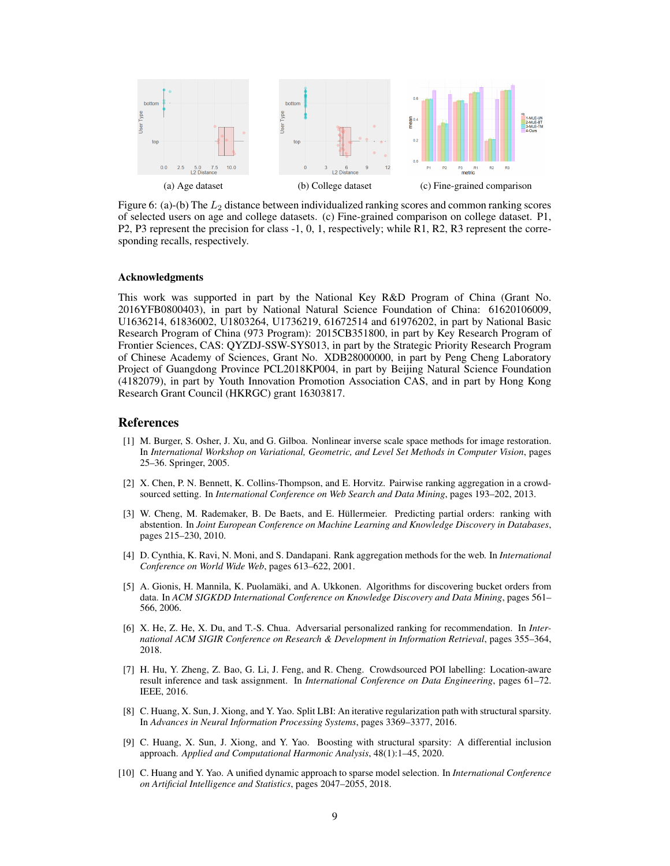

Figure 6: (a)-(b) The  $L_2$  distance between individualized ranking scores and common ranking scores of selected users on age and college datasets. (c) Fine-grained comparison on college dataset. P1, P2, P3 represent the precision for class -1, 0, 1, respectively; while R1, R2, R3 represent the corresponding recalls, respectively.

### Acknowledgments

This work was supported in part by the National Key R&D Program of China (Grant No. 2016YFB0800403), in part by National Natural Science Foundation of China: 61620106009, U1636214, 61836002, U1803264, U1736219, 61672514 and 61976202, in part by National Basic Research Program of China (973 Program): 2015CB351800, in part by Key Research Program of Frontier Sciences, CAS: QYZDJ-SSW-SYS013, in part by the Strategic Priority Research Program of Chinese Academy of Sciences, Grant No. XDB28000000, in part by Peng Cheng Laboratory Project of Guangdong Province PCL2018KP004, in part by Beijing Natural Science Foundation (4182079), in part by Youth Innovation Promotion Association CAS, and in part by Hong Kong Research Grant Council (HKRGC) grant 16303817.

## References

- [1] M. Burger, S. Osher, J. Xu, and G. Gilboa. Nonlinear inverse scale space methods for image restoration. In *International Workshop on Variational, Geometric, and Level Set Methods in Computer Vision*, pages 25–36. Springer, 2005.
- [2] X. Chen, P. N. Bennett, K. Collins-Thompson, and E. Horvitz. Pairwise ranking aggregation in a crowdsourced setting. In *International Conference on Web Search and Data Mining*, pages 193–202, 2013.
- [3] W. Cheng, M. Rademaker, B. De Baets, and E. Hüllermeier. Predicting partial orders: ranking with abstention. In *Joint European Conference on Machine Learning and Knowledge Discovery in Databases*, pages 215–230, 2010.
- [4] D. Cynthia, K. Ravi, N. Moni, and S. Dandapani. Rank aggregation methods for the web. In *International Conference on World Wide Web*, pages 613–622, 2001.
- [5] A. Gionis, H. Mannila, K. Puolamäki, and A. Ukkonen. Algorithms for discovering bucket orders from data. In *ACM SIGKDD International Conference on Knowledge Discovery and Data Mining*, pages 561– 566, 2006.
- [6] X. He, Z. He, X. Du, and T.-S. Chua. Adversarial personalized ranking for recommendation. In *International ACM SIGIR Conference on Research & Development in Information Retrieval*, pages 355–364, 2018.
- [7] H. Hu, Y. Zheng, Z. Bao, G. Li, J. Feng, and R. Cheng. Crowdsourced POI labelling: Location-aware result inference and task assignment. In *International Conference on Data Engineering*, pages 61–72. IEEE, 2016.
- [8] C. Huang, X. Sun, J. Xiong, and Y. Yao. Split LBI: An iterative regularization path with structural sparsity. In *Advances in Neural Information Processing Systems*, pages 3369–3377, 2016.
- [9] C. Huang, X. Sun, J. Xiong, and Y. Yao. Boosting with structural sparsity: A differential inclusion approach. *Applied and Computational Harmonic Analysis*, 48(1):1–45, 2020.
- [10] C. Huang and Y. Yao. A unified dynamic approach to sparse model selection. In *International Conference on Artificial Intelligence and Statistics*, pages 2047–2055, 2018.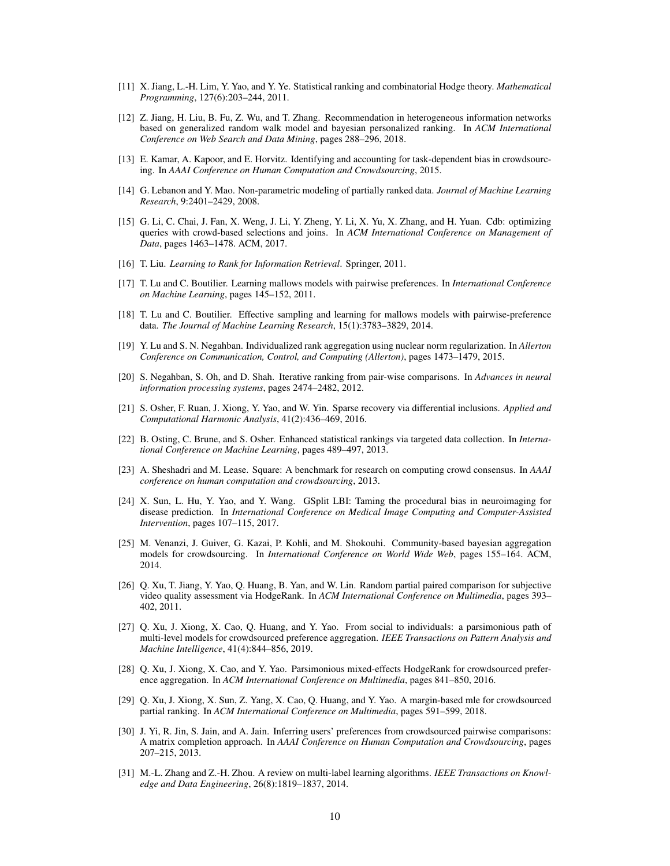- [11] X. Jiang, L.-H. Lim, Y. Yao, and Y. Ye. Statistical ranking and combinatorial Hodge theory. *Mathematical Programming*, 127(6):203–244, 2011.
- [12] Z. Jiang, H. Liu, B. Fu, Z. Wu, and T. Zhang. Recommendation in heterogeneous information networks based on generalized random walk model and bayesian personalized ranking. In *ACM International Conference on Web Search and Data Mining*, pages 288–296, 2018.
- [13] E. Kamar, A. Kapoor, and E. Horvitz. Identifying and accounting for task-dependent bias in crowdsourcing. In *AAAI Conference on Human Computation and Crowdsourcing*, 2015.
- [14] G. Lebanon and Y. Mao. Non-parametric modeling of partially ranked data. *Journal of Machine Learning Research*, 9:2401–2429, 2008.
- [15] G. Li, C. Chai, J. Fan, X. Weng, J. Li, Y. Zheng, Y. Li, X. Yu, X. Zhang, and H. Yuan. Cdb: optimizing queries with crowd-based selections and joins. In *ACM International Conference on Management of Data*, pages 1463–1478. ACM, 2017.
- [16] T. Liu. *Learning to Rank for Information Retrieval*. Springer, 2011.
- [17] T. Lu and C. Boutilier. Learning mallows models with pairwise preferences. In *International Conference on Machine Learning*, pages 145–152, 2011.
- [18] T. Lu and C. Boutilier. Effective sampling and learning for mallows models with pairwise-preference data. *The Journal of Machine Learning Research*, 15(1):3783–3829, 2014.
- [19] Y. Lu and S. N. Negahban. Individualized rank aggregation using nuclear norm regularization. In *Allerton Conference on Communication, Control, and Computing (Allerton)*, pages 1473–1479, 2015.
- [20] S. Negahban, S. Oh, and D. Shah. Iterative ranking from pair-wise comparisons. In *Advances in neural information processing systems*, pages 2474–2482, 2012.
- [21] S. Osher, F. Ruan, J. Xiong, Y. Yao, and W. Yin. Sparse recovery via differential inclusions. *Applied and Computational Harmonic Analysis*, 41(2):436–469, 2016.
- [22] B. Osting, C. Brune, and S. Osher. Enhanced statistical rankings via targeted data collection. In *International Conference on Machine Learning*, pages 489–497, 2013.
- [23] A. Sheshadri and M. Lease. Square: A benchmark for research on computing crowd consensus. In *AAAI conference on human computation and crowdsourcing*, 2013.
- [24] X. Sun, L. Hu, Y. Yao, and Y. Wang. GSplit LBI: Taming the procedural bias in neuroimaging for disease prediction. In *International Conference on Medical Image Computing and Computer-Assisted Intervention*, pages 107–115, 2017.
- [25] M. Venanzi, J. Guiver, G. Kazai, P. Kohli, and M. Shokouhi. Community-based bayesian aggregation models for crowdsourcing. In *International Conference on World Wide Web*, pages 155–164. ACM, 2014.
- [26] Q. Xu, T. Jiang, Y. Yao, Q. Huang, B. Yan, and W. Lin. Random partial paired comparison for subjective video quality assessment via HodgeRank. In *ACM International Conference on Multimedia*, pages 393– 402, 2011.
- [27] Q. Xu, J. Xiong, X. Cao, Q. Huang, and Y. Yao. From social to individuals: a parsimonious path of multi-level models for crowdsourced preference aggregation. *IEEE Transactions on Pattern Analysis and Machine Intelligence*, 41(4):844–856, 2019.
- [28] Q. Xu, J. Xiong, X. Cao, and Y. Yao. Parsimonious mixed-effects HodgeRank for crowdsourced preference aggregation. In *ACM International Conference on Multimedia*, pages 841–850, 2016.
- [29] Q. Xu, J. Xiong, X. Sun, Z. Yang, X. Cao, Q. Huang, and Y. Yao. A margin-based mle for crowdsourced partial ranking. In *ACM International Conference on Multimedia*, pages 591–599, 2018.
- [30] J. Yi, R. Jin, S. Jain, and A. Jain. Inferring users' preferences from crowdsourced pairwise comparisons: A matrix completion approach. In *AAAI Conference on Human Computation and Crowdsourcing*, pages 207–215, 2013.
- [31] M.-L. Zhang and Z.-H. Zhou. A review on multi-label learning algorithms. *IEEE Transactions on Knowledge and Data Engineering*, 26(8):1819–1837, 2014.